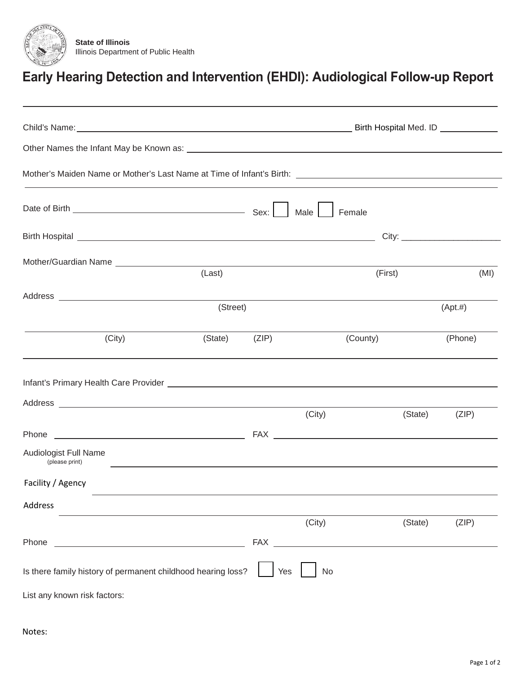

## **Early Hearing Detection and Intervention (EHDI): Audiological Follow-up Report**

| Mother/Guardian Name Law Manual Communication of the Communication of the Communication of the Communication of the Communication of the Communication of the Communication of the Communication of the Communication of the C       | (Last)   |               |           | (First)                                                                                                                                                                                                                              | (MI)        |
|--------------------------------------------------------------------------------------------------------------------------------------------------------------------------------------------------------------------------------------|----------|---------------|-----------|--------------------------------------------------------------------------------------------------------------------------------------------------------------------------------------------------------------------------------------|-------------|
|                                                                                                                                                                                                                                      | (Street) |               |           |                                                                                                                                                                                                                                      | $(Apt. \#)$ |
| (City)                                                                                                                                                                                                                               |          | (State) (ZIP) |           | (County)                                                                                                                                                                                                                             | (Phone)     |
| Infant's Primary Health Care Provider <b>Contract Contract Contract Contract Contract Contract Contract Contract Contract Contract Contract Contract Contract Contract Contract Contract Contract Contract Contract Contract Con</b> |          |               |           |                                                                                                                                                                                                                                      |             |
|                                                                                                                                                                                                                                      |          |               | (City)    | (State)                                                                                                                                                                                                                              | (ZIP)       |
|                                                                                                                                                                                                                                      |          |               |           |                                                                                                                                                                                                                                      |             |
| Audiologist Full Name<br>(please print)                                                                                                                                                                                              |          |               |           | <u> 1999 - Johann Stoff, deutscher Stoffen und der Stoffen und der Stoffen und der Stoffen und der Stoffen und der Stoffen und der Stoffen und der Stoffen und der Stoffen und der Stoffen und der Stoffen und der Stoffen und d</u> |             |
| Facility / Agency                                                                                                                                                                                                                    |          |               |           |                                                                                                                                                                                                                                      |             |
| Address                                                                                                                                                                                                                              |          |               |           |                                                                                                                                                                                                                                      |             |
|                                                                                                                                                                                                                                      |          |               | (City)    | (State)                                                                                                                                                                                                                              | (ZIP)       |
| Phone<br><u> 1989 - Johann Barn, mars eta bainar eta bat erroman erroman erroman erroman erroman erroman erroman erroman e</u>                                                                                                       |          |               |           |                                                                                                                                                                                                                                      |             |
| Is there family history of permanent childhood hearing loss?                                                                                                                                                                         |          | Yes           | <b>No</b> |                                                                                                                                                                                                                                      |             |
| List any known risk factors:                                                                                                                                                                                                         |          |               |           |                                                                                                                                                                                                                                      |             |